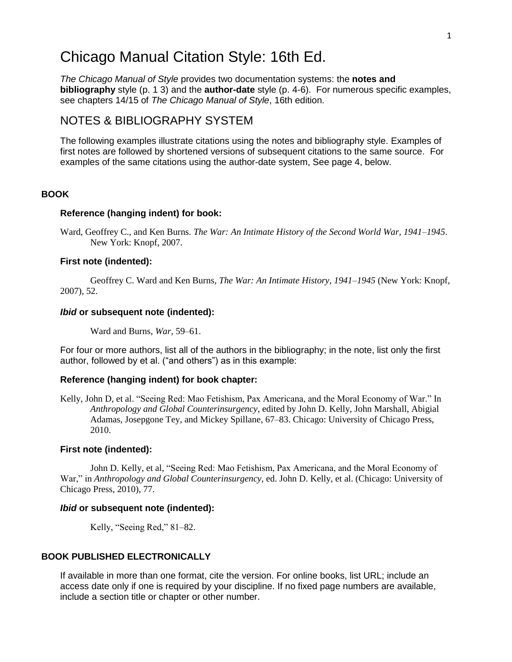# Chicago Manual Citation Style: 16th Ed.

*The Chicago Manual of Style* provides two documentation systems: the **notes and bibliography** style (p. 1 3) and the **author-date** style (p. 4-6). For numerous specific examples, see chapters 14/15 of *The Chicago Manual of Style*, 16th edition.

# NOTES & BIBLIOGRAPHY SYSTEM

The following examples illustrate citations using the notes and bibliography style. Examples of first notes are followed by shortened versions of subsequent citations to the same source. For examples of the same citations using the author-date system, See page 4, below.

# **BOOK**

# **Reference (hanging indent) for book:**

Ward, Geoffrey C., and Ken Burns*. The War: An Intimate History of the Second World War, 1941–1945*. New York: Knopf, 2007.

# **First note (indented):**

Geoffrey C. Ward and Ken Burns, *The War: An Intimate History, 1941–1945* (New York: Knopf, 2007), 52.

# *Ibid* **or subsequent note (indented):**

Ward and Burns, *War*, 59–61.

For four or more authors, list all of the authors in the bibliography; in the note, list only the first author, followed by et al. ("and others") as in this example:

### **Reference (hanging indent) for book chapter:**

Kelly, John D, et al. "Seeing Red: Mao Fetishism, Pax Americana, and the Moral Economy of War." In *Anthropology and Global Counterinsurgency*, edited by John D. Kelly, John Marshall, Abigial Adamas, Josepgone Tey, and Mickey Spillane, 67–83. Chicago: University of Chicago Press, 2010.

### **First note (indented):**

John D. Kelly, et al, "Seeing Red: Mao Fetishism, Pax Americana, and the Moral Economy of War," in *Anthropology and Global Counterinsurgency*, ed. John D. Kelly, et al. (Chicago: University of Chicago Press, 2010), 77.

### *Ibid* **or subsequent note (indented):**

Kelly, "Seeing Red," 81–82.

# **BOOK PUBLISHED ELECTRONICALLY**

If available in more than one format, cite the version. For online books, list URL; include an access date only if one is required by your discipline. If no fixed page numbers are available, include a section title or chapter or other number.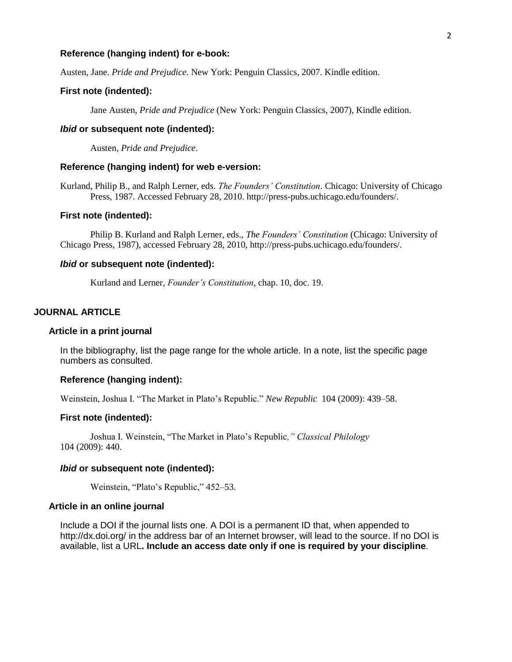### **Reference (hanging indent) for e-book:**

Austen, Jane. *Pride and Prejudice*. New York: Penguin Classics, 2007. Kindle edition.

# **First note (indented):**

Jane Austen*, Pride and Prejudice* (New York: Penguin Classics, 2007), Kindle edition.

# *Ibid* **or subsequent note (indented):**

Austen, *Pride and Prejudice*.

# **Reference (hanging indent) for web e-version:**

Kurland, Philip B., and Ralph Lerner, eds. *The Founders' Constitution*. Chicago: University of Chicago Press, 1987. Accessed February 28, 2010. http://press-pubs.uchicago.edu/founders/.

# **First note (indented):**

Philip B. Kurland and Ralph Lerner, eds., *The Founders' Constitution* (Chicago: University of Chicago Press, 1987), accessed February 28, 2010, http://press-pubs.uchicago.edu/founders/.

# *Ibid* **or subsequent note (indented):**

Kurland and Lerner, *Founder's Constitution*, chap. 10, doc. 19.

# **JOURNAL ARTICLE**

### **Article in a print journal**

In the bibliography, list the page range for the whole article. In a note, list the specific page numbers as consulted.

### **Reference (hanging indent):**

Weinstein, Joshua I. "The Market in Plato's Republic." *New Republic* 104 (2009): 439–58.

# **First note (indented):**

Joshua I. Weinstein, "The Market in Plato's Republic*," Classical Philology* 104 (2009): 440.

# *Ibid* **or subsequent note (indented):**

Weinstein, "Plato's Republic," 452–53.

### **Article in an online journal**

Include a DOI if the journal lists one. A DOI is a permanent ID that, when appended to http://dx.doi.org/ in the address bar of an Internet browser, will lead to the source. If no DOI is available, list a URL**. Include an access date only if one is required by your discipline**.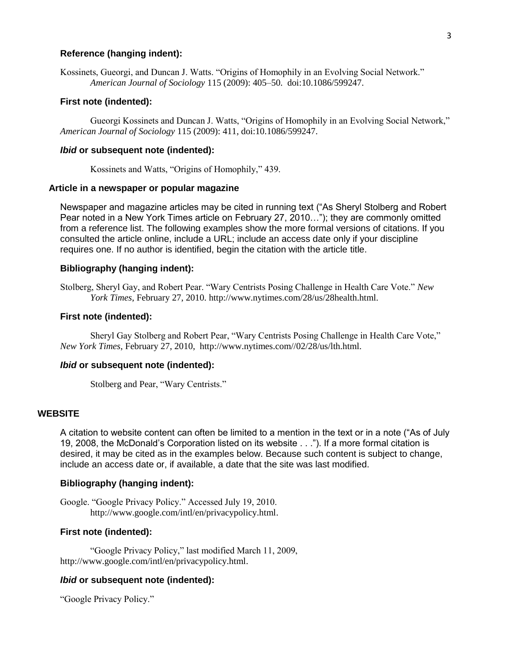# **Reference (hanging indent):**

*American Journal of Sociology* 115 (2009): 405–50. doi:10.1086/599247.

# **First note (indented):**

Gueorgi Kossinets and Duncan J. Watts, "Origins of Homophily in an Evolving Social Network," *American Journal of Sociology* 115 (2009): 411, doi:10.1086/599247.

# *Ibid* **or subsequent note (indented):**

Kossinets and Watts, "Origins of Homophily," 439.

# **Article in a newspaper or popular magazine**

Newspaper and magazine articles may be cited in running text ("As Sheryl Stolberg and Robert Pear noted in a New York Times article on February 27, 2010…"); they are commonly omitted from a reference list. The following examples show the more formal versions of citations. If you consulted the article online, include a URL; include an access date only if your discipline requires one. If no author is identified, begin the citation with the article title.

# **Bibliography (hanging indent):**

Stolberg, Sheryl Gay, and Robert Pear. "Wary Centrists Posing Challenge in Health Care Vote." *New York Times*, February 27, 2010. http://www.nytimes.com/28/us/28health.html.

# **First note (indented):**

Sheryl Gay Stolberg and Robert Pear, "Wary Centrists Posing Challenge in Health Care Vote," *New York Times*, February 27, 2010, http://www.nytimes.com//02/28/us/lth.html.

# *Ibid* **or subsequent note (indented):**

Stolberg and Pear, "Wary Centrists."

# **WEBSITE**

A citation to website content can often be limited to a mention in the text or in a note ("As of July 19, 2008, the McDonald's Corporation listed on its website . . ."). If a more formal citation is desired, it may be cited as in the examples below. Because such content is subject to change, include an access date or, if available, a date that the site was last modified.

# **Bibliography (hanging indent):**

Google. "Google Privacy Policy." Accessed July 19, 2010. http://www.google.com/intl/en/privacypolicy.html.

# **First note (indented):**

"Google Privacy Policy," last modified March 11, 2009, http://www.google.com/intl/en/privacypolicy.html.

### *Ibid* **or subsequent note (indented):**

"Google Privacy Policy."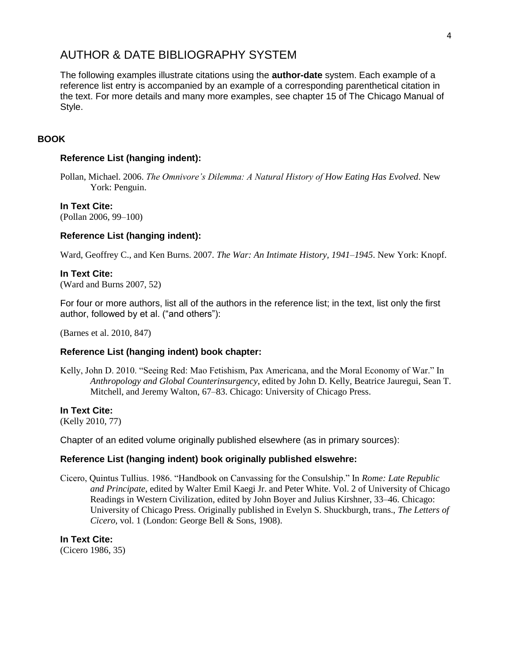# AUTHOR & DATE BIBLIOGRAPHY SYSTEM

The following examples illustrate citations using the **author-date** system. Each example of a reference list entry is accompanied by an example of a corresponding parenthetical citation in the text. For more details and many more examples, see chapter 15 of The Chicago Manual of Style.

# **BOOK**

# **Reference List (hanging indent):**

Pollan, Michael. 2006. *The Omnivore's Dilemma: A Natural History of How Eating Has Evolved*. New York: Penguin.

# **In Text Cite:**

(Pollan 2006, 99–100)

# **Reference List (hanging indent):**

Ward, Geoffrey C., and Ken Burns. 2007. *The War: An Intimate History, 1941–1945*. New York: Knopf.

### **In Text Cite:**

(Ward and Burns 2007, 52)

For four or more authors, list all of the authors in the reference list; in the text, list only the first author, followed by et al. ("and others"):

(Barnes et al. 2010, 847)

### **Reference List (hanging indent) book chapter:**

Kelly, John D. 2010. "Seeing Red: Mao Fetishism, Pax Americana, and the Moral Economy of War." In *Anthropology and Global Counterinsurgency*, edited by John D. Kelly, Beatrice Jauregui, Sean T. Mitchell, and Jeremy Walton, 67–83. Chicago: University of Chicago Press.

# **In Text Cite:**

(Kelly 2010, 77)

Chapter of an edited volume originally published elsewhere (as in primary sources):

# **Reference List (hanging indent) book originally published elswehre:**

Cicero, Quintus Tullius. 1986. "Handbook on Canvassing for the Consulship." In *Rome: Late Republic and Principate*, edited by Walter Emil Kaegi Jr. and Peter White. Vol. 2 of University of Chicago Readings in Western Civilization, edited by John Boyer and Julius Kirshner, 33–46. Chicago: University of Chicago Press. Originally published in Evelyn S. Shuckburgh, trans., *The Letters of Cicero*, vol. 1 (London: George Bell & Sons, 1908).

**In Text Cite:**

(Cicero 1986, 35)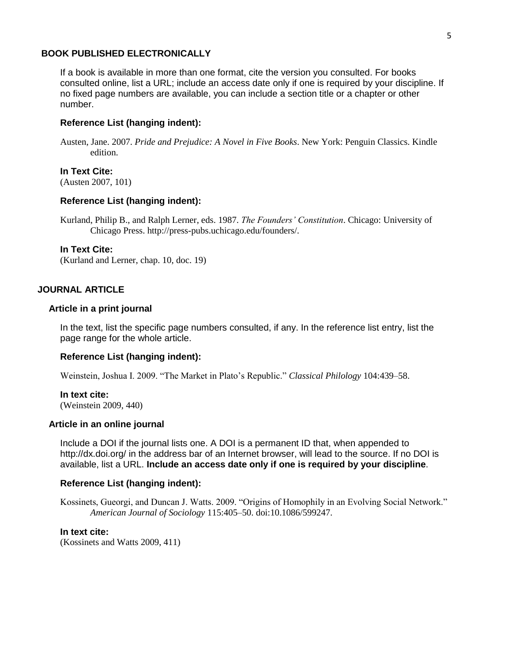### **BOOK PUBLISHED ELECTRONICALLY**

If a book is available in more than one format, cite the version you consulted. For books consulted online, list a URL; include an access date only if one is required by your discipline. If no fixed page numbers are available, you can include a section title or a chapter or other number.

### **Reference List (hanging indent):**

Austen, Jane. 2007*. Pride and Prejudice: A Novel in Five Books*. New York: Penguin Classics. Kindle edition.

# **In Text Cite:**

(Austen 2007, 101)

### **Reference List (hanging indent):**

Kurland, Philip B., and Ralph Lerner, eds. 1987. *The Founders' Constitution*. Chicago: University of Chicago Press. http://press-pubs.uchicago.edu/founders/.

#### **In Text Cite:**

(Kurland and Lerner, chap. 10, doc. 19)

# **JOURNAL ARTICLE**

# **Article in a print journal**

In the text, list the specific page numbers consulted, if any. In the reference list entry, list the page range for the whole article.

#### **Reference List (hanging indent):**

Weinstein, Joshua I. 2009. "The Market in Plato's Republic." *Classical Philology* 104:439–58.

**In text cite:** (Weinstein 2009, 440)

# **Article in an online journal**

Include a DOI if the journal lists one. A DOI is a permanent ID that, when appended to http://dx.doi.org/ in the address bar of an Internet browser, will lead to the source. If no DOI is available, list a URL. **Include an access date only if one is required by your discipline**.

# **Reference List (hanging indent):**

Kossinets, Gueorgi, and Duncan J. Watts. 2009. "Origins of Homophily in an Evolving Social Network." *American Journal of Sociology* 115:405–50. doi:10.1086/599247.

### **In text cite:**

(Kossinets and Watts 2009, 411)